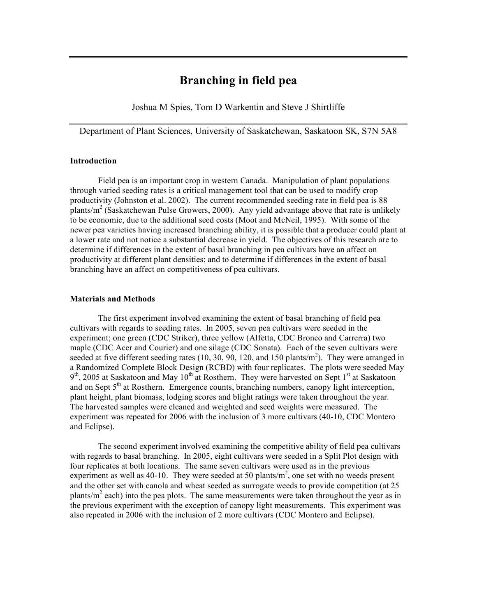# **Branching in field pea**

Joshua M Spies, Tom D Warkentin and Steve J Shirtliffe

Department of Plant Sciences, University of Saskatchewan, Saskatoon SK, S7N 5A8

#### **Introduction**

Field pea is an important crop in western Canada. Manipulation of plant populations through varied seeding rates is a critical management tool that can be used to modify crop productivity (Johnston et al. 2002). The current recommended seeding rate in field pea is 88 plants/ $m^2$  (Saskatchewan Pulse Growers, 2000). Any yield advantage above that rate is unlikely to be economic, due to the additional seed costs (Moot and McNeil, 1995). With some of the newer pea varieties having increased branching ability, it is possible that a producer could plant at a lower rate and not notice a substantial decrease in yield. The objectives of this research are to determine if differences in the extent of basal branching in pea cultivars have an affect on productivity at different plant densities; and to determine if differences in the extent of basal branching have an affect on competitiveness of pea cultivars.

### **Materials and Methods**

The first experiment involved examining the extent of basal branching of field pea cultivars with regards to seeding rates. In 2005, seven pea cultivars were seeded in the experiment; one green (CDC Striker), three yellow (Alfetta, CDC Bronco and Carrerra) two maple (CDC Acer and Courier) and one silage (CDC Sonata). Each of the seven cultivars were seeded at five different seeding rates  $(10, 30, 90, 120,$  and 150 plants/m<sup>2</sup>). They were arranged in a Randomized Complete Block Design (RCBD) with four replicates. The plots were seeded May  $9<sup>th</sup>$ , 2005 at Saskatoon and May 10<sup>th</sup> at Rosthern. They were harvested on Sept 1<sup>st</sup> at Saskatoon and on Sept  $5<sup>th</sup>$  at Rosthern. Emergence counts, branching numbers, canopy light interception, plant height, plant biomass, lodging scores and blight ratings were taken throughout the year. The harvested samples were cleaned and weighted and seed weights were measured. The experiment was repeated for 2006 with the inclusion of 3 more cultivars (40-10, CDC Montero and Eclipse).

The second experiment involved examining the competitive ability of field pea cultivars with regards to basal branching. In 2005, eight cultivars were seeded in a Split Plot design with four replicates at both locations. The same seven cultivars were used as in the previous experiment as well as 40-10. They were seeded at 50 plants/ $m<sup>2</sup>$ , one set with no weeds present and the other set with canola and wheat seeded as surrogate weeds to provide competition (at 25 plants/ $m<sup>2</sup>$  each) into the pea plots. The same measurements were taken throughout the year as in the previous experiment with the exception of canopy light measurements. This experiment was also repeated in 2006 with the inclusion of 2 more cultivars (CDC Montero and Eclipse).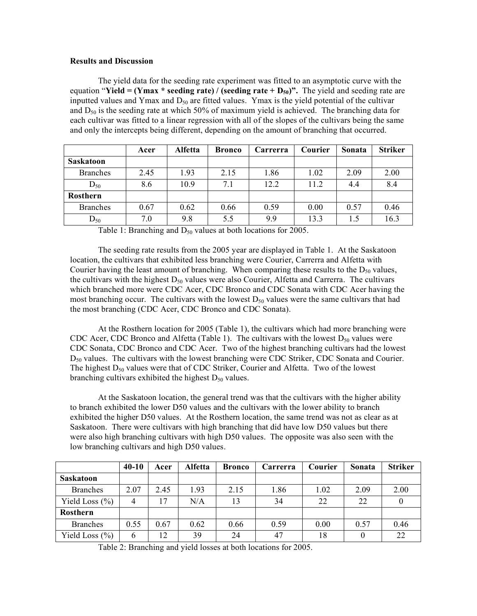### **Results and Discussion**

The yield data for the seeding rate experiment was fitted to an asymptotic curve with the equation "**Yield = (Ymax** \* **seeding rate)** / (**seeding rate +**  $D_{50}$ )". The yield and seeding rate are inputted values and Ymax and  $D_{50}$  are fitted values. Ymax is the yield potential of the cultivar and  $D_{50}$  is the seeding rate at which 50% of maximum yield is achieved. The branching data for each cultivar was fitted to a linear regression with all of the slopes of the cultivars being the same and only the intercepts being different, depending on the amount of branching that occurred.

|                  | Acer | Alfetta | <b>Bronco</b> | Carrerra | Courier | Sonata | <b>Striker</b> |
|------------------|------|---------|---------------|----------|---------|--------|----------------|
| <b>Saskatoon</b> |      |         |               |          |         |        |                |
| <b>Branches</b>  | 2.45 | 1.93    | 2.15          | 1.86     | 1.02    | 2.09   | 2.00           |
| $D_{50}$         | 8.6  | 10.9    | 7.1           | 12.2     | 11.2    | 4.4    | 8.4            |
| Rosthern         |      |         |               |          |         |        |                |
| <b>Branches</b>  | 0.67 | 0.62    | 0.66          | 0.59     | 0.00    | 0.57   | 0.46           |
| $D_{50}$         | 7.0  | 9.8     | 5.5           | 9.9      | 13.3    | 1.5    | 16.3           |

Table 1: Branching and  $D_{50}$  values at both locations for 2005.

The seeding rate results from the 2005 year are displayed in Table 1. At the Saskatoon location, the cultivars that exhibited less branching were Courier, Carrerra and Alfetta with Courier having the least amount of branching. When comparing these results to the  $D_{50}$  values, the cultivars with the highest  $D_{50}$  values were also Courier, Alfetta and Carrerra. The cultivars which branched more were CDC Acer, CDC Bronco and CDC Sonata with CDC Acer having the most branching occur. The cultivars with the lowest  $D_{50}$  values were the same cultivars that had the most branching (CDC Acer, CDC Bronco and CDC Sonata).

At the Rosthern location for 2005 (Table 1), the cultivars which had more branching were CDC Acer, CDC Bronco and Alfetta (Table 1). The cultivars with the lowest  $D_{50}$  values were CDC Sonata, CDC Bronco and CDC Acer. Two of the highest branching cultivars had the lowest  $D_{50}$  values. The cultivars with the lowest branching were CDC Striker, CDC Sonata and Courier. The highest  $D_{50}$  values were that of CDC Striker, Courier and Alfetta. Two of the lowest branching cultivars exhibited the highest  $D_{50}$  values.

At the Saskatoon location, the general trend was that the cultivars with the higher ability to branch exhibited the lower D50 values and the cultivars with the lower ability to branch exhibited the higher D50 values. At the Rosthern location, the same trend was not as clear as at Saskatoon. There were cultivars with high branching that did have low D50 values but there were also high branching cultivars with high D50 values. The opposite was also seen with the low branching cultivars and high D50 values.

|                    | $40 - 10$ | Acer | <b>Alfetta</b> | <b>Bronco</b> | Carrerra | <b>Courier</b> | Sonata | <b>Striker</b> |
|--------------------|-----------|------|----------------|---------------|----------|----------------|--------|----------------|
| <b>Saskatoon</b>   |           |      |                |               |          |                |        |                |
| <b>Branches</b>    | 2.07      | 2.45 | 1.93           | 2.15          | 1.86     | 1.02           | 2.09   | 2.00           |
| Yield Loss $(\% )$ | 4         | 17   | N/A            | 13            | 34       | 22             | 22     |                |
| <b>Rosthern</b>    |           |      |                |               |          |                |        |                |
| <b>Branches</b>    | 0.55      | 0.67 | 0.62           | 0.66          | 0.59     | 0.00           | 0.57   | 0.46           |
| Yield Loss $(\% )$ | 6         | 12   | 39             | 24            | 47       | 18             |        | 22             |

Table 2: Branching and yield losses at both locations for 2005.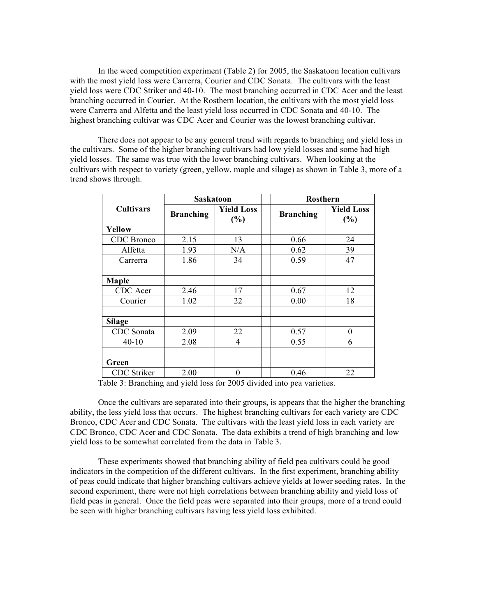In the weed competition experiment (Table 2) for 2005, the Saskatoon location cultivars with the most yield loss were Carrerra, Courier and CDC Sonata. The cultivars with the least yield loss were CDC Striker and 40-10. The most branching occurred in CDC Acer and the least branching occurred in Courier. At the Rosthern location, the cultivars with the most yield loss were Carrerra and Alfetta and the least yield loss occurred in CDC Sonata and 40-10. The highest branching cultivar was CDC Acer and Courier was the lowest branching cultivar.

There does not appear to be any general trend with regards to branching and yield loss in the cultivars. Some of the higher branching cultivars had low yield losses and some had high yield losses. The same was true with the lower branching cultivars. When looking at the cultivars with respect to variety (green, yellow, maple and silage) as shown in Table 3, more of a trend shows through.

|                  | <b>Saskatoon</b> |                          |  | <b>Rosthern</b>  |                             |  |
|------------------|------------------|--------------------------|--|------------------|-----------------------------|--|
| <b>Cultivars</b> | <b>Branching</b> | <b>Yield Loss</b><br>(%) |  | <b>Branching</b> | <b>Yield Loss</b><br>$(\%)$ |  |
| Yellow           |                  |                          |  |                  |                             |  |
| CDC Bronco       | 2.15             | 13                       |  | 0.66             | 24                          |  |
| Alfetta          | 1.93             | N/A                      |  | 0.62             | 39                          |  |
| Carrerra         | 1.86             | 34                       |  | 0.59             | 47                          |  |
|                  |                  |                          |  |                  |                             |  |
| Maple            |                  |                          |  |                  |                             |  |
| CDC Acer         | 2.46             | 17                       |  | 0.67             | 12                          |  |
| Courier          | 1.02             | 22                       |  | 0.00             | 18                          |  |
|                  |                  |                          |  |                  |                             |  |
| <b>Silage</b>    |                  |                          |  |                  |                             |  |
| CDC Sonata       | 2.09             | 22                       |  | 0.57             | $\theta$                    |  |
| $40 - 10$        | 2.08             | $\overline{4}$           |  | 0.55             | 6                           |  |
|                  |                  |                          |  |                  |                             |  |
| Green            |                  |                          |  |                  |                             |  |
| CDC Striker      | 2.00             | $\boldsymbol{0}$         |  | 0.46             | 22                          |  |

Table 3: Branching and yield loss for 2005 divided into pea varieties.

Once the cultivars are separated into their groups, is appears that the higher the branching ability, the less yield loss that occurs. The highest branching cultivars for each variety are CDC Bronco, CDC Acer and CDC Sonata. The cultivars with the least yield loss in each variety are CDC Bronco, CDC Acer and CDC Sonata. The data exhibits a trend of high branching and low yield loss to be somewhat correlated from the data in Table 3.

These experiments showed that branching ability of field pea cultivars could be good indicators in the competition of the different cultivars. In the first experiment, branching ability of peas could indicate that higher branching cultivars achieve yields at lower seeding rates. In the second experiment, there were not high correlations between branching ability and yield loss of field peas in general. Once the field peas were separated into their groups, more of a trend could be seen with higher branching cultivars having less yield loss exhibited.